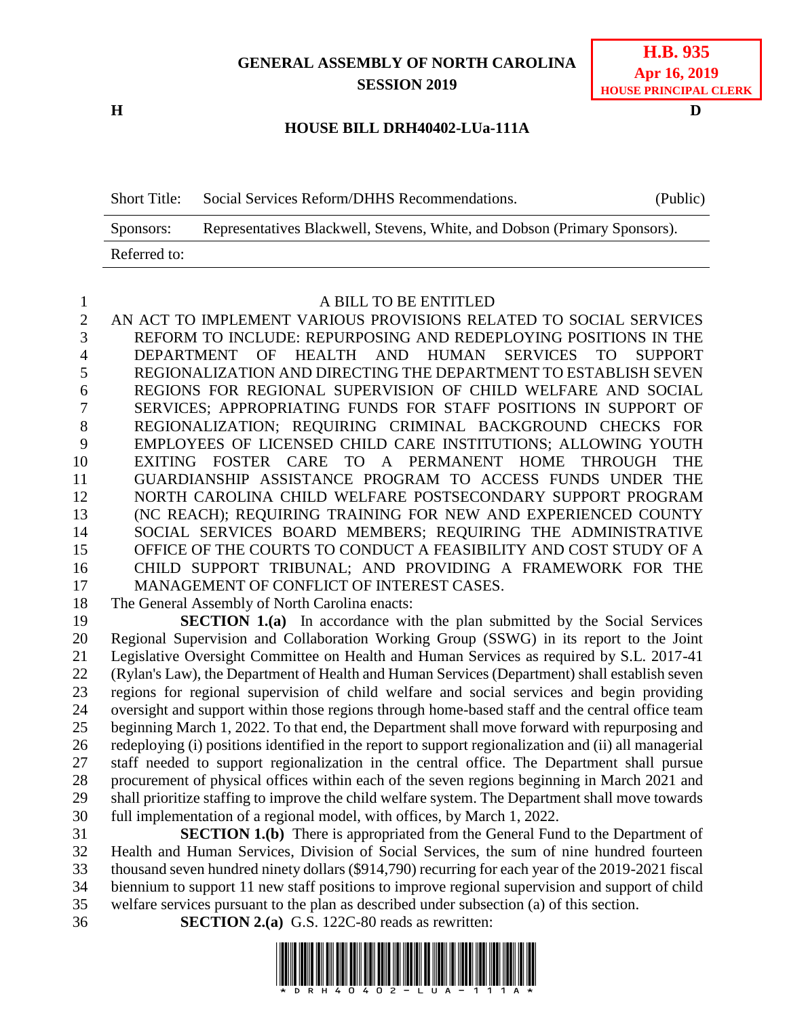## **GENERAL ASSEMBLY OF NORTH CAROLINA SESSION 2019**

#### **HOUSE BILL DRH40402-LUa-111A**

| <b>Short Title:</b> | Social Services Reform/DHHS Recommendations.                              | (Public) |  |
|---------------------|---------------------------------------------------------------------------|----------|--|
| Sponsors:           | Representatives Blackwell, Stevens, White, and Dobson (Primary Sponsors). |          |  |
| Referred to:        |                                                                           |          |  |

1 A BILL TO BE ENTITLED<br>2 AN ACT TO IMPLEMENT VARIOUS PROVISIONS REL AN ACT TO IMPLEMENT VARIOUS PROVISIONS RELATED TO SOCIAL SERVICES REFORM TO INCLUDE: REPURPOSING AND REDEPLOYING POSITIONS IN THE DEPARTMENT OF HEALTH AND HUMAN SERVICES TO SUPPORT REGIONALIZATION AND DIRECTING THE DEPARTMENT TO ESTABLISH SEVEN REGIONS FOR REGIONAL SUPERVISION OF CHILD WELFARE AND SOCIAL SERVICES; APPROPRIATING FUNDS FOR STAFF POSITIONS IN SUPPORT OF REGIONALIZATION; REQUIRING CRIMINAL BACKGROUND CHECKS FOR EMPLOYEES OF LICENSED CHILD CARE INSTITUTIONS; ALLOWING YOUTH EXITING FOSTER CARE TO A PERMANENT HOME THROUGH THE GUARDIANSHIP ASSISTANCE PROGRAM TO ACCESS FUNDS UNDER THE NORTH CAROLINA CHILD WELFARE POSTSECONDARY SUPPORT PROGRAM (NC REACH); REQUIRING TRAINING FOR NEW AND EXPERIENCED COUNTY SOCIAL SERVICES BOARD MEMBERS; REQUIRING THE ADMINISTRATIVE OFFICE OF THE COURTS TO CONDUCT A FEASIBILITY AND COST STUDY OF A CHILD SUPPORT TRIBUNAL; AND PROVIDING A FRAMEWORK FOR THE 17 MANAGEMENT OF CONFLICT OF INTEREST CASES.

The General Assembly of North Carolina enacts:

 **SECTION 1.(a)** In accordance with the plan submitted by the Social Services Regional Supervision and Collaboration Working Group (SSWG) in its report to the Joint Legislative Oversight Committee on Health and Human Services as required by S.L. 2017-41 (Rylan's Law), the Department of Health and Human Services (Department) shall establish seven regions for regional supervision of child welfare and social services and begin providing oversight and support within those regions through home-based staff and the central office team beginning March 1, 2022. To that end, the Department shall move forward with repurposing and redeploying (i) positions identified in the report to support regionalization and (ii) all managerial staff needed to support regionalization in the central office. The Department shall pursue procurement of physical offices within each of the seven regions beginning in March 2021 and shall prioritize staffing to improve the child welfare system. The Department shall move towards full implementation of a regional model, with offices, by March 1, 2022.

 **SECTION 1.(b)** There is appropriated from the General Fund to the Department of Health and Human Services, Division of Social Services, the sum of nine hundred fourteen thousand seven hundred ninety dollars (\$914,790) recurring for each year of the 2019-2021 fiscal biennium to support 11 new staff positions to improve regional supervision and support of child welfare services pursuant to the plan as described under subsection (a) of this section.

**SECTION 2.(a)** G.S. 122C-80 reads as rewritten:



**H D**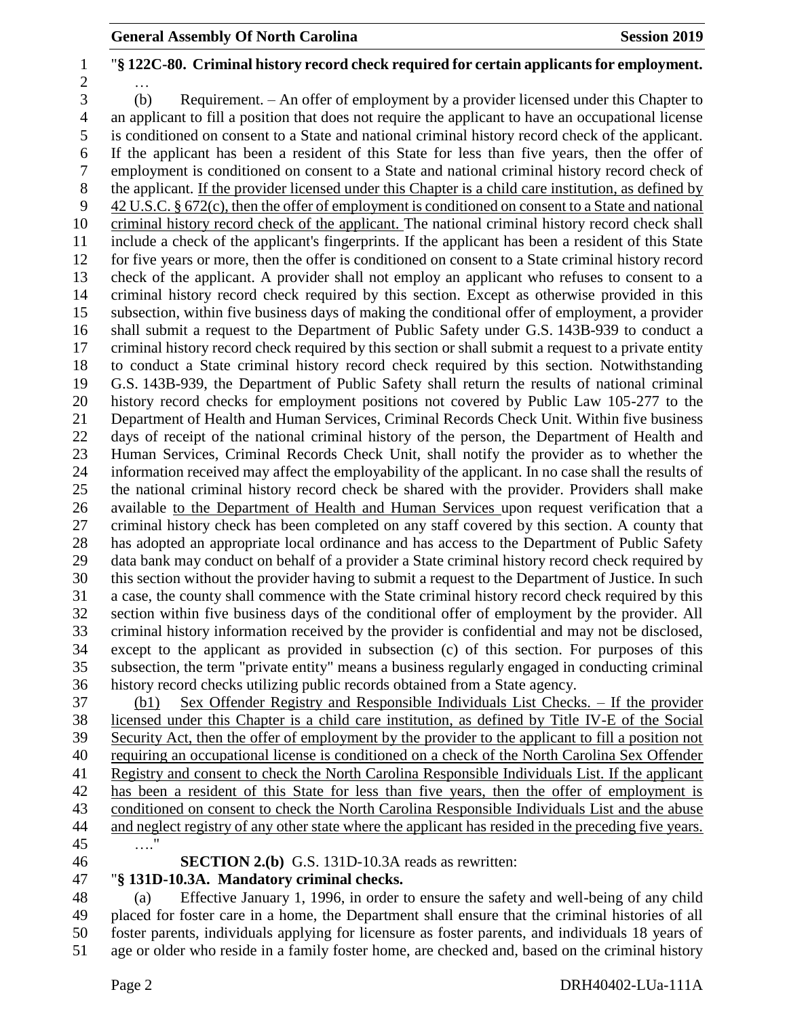## "**§ 122C-80. Criminal history record check required for certain applicants for employment.** … (b) Requirement. – An offer of employment by a provider licensed under this Chapter to an applicant to fill a position that does not require the applicant to have an occupational license is conditioned on consent to a State and national criminal history record check of the applicant. If the applicant has been a resident of this State for less than five years, then the offer of employment is conditioned on consent to a State and national criminal history record check of the applicant. If the provider licensed under this Chapter is a child care institution, as defined by 42 U.S.C. § 672(c), then the offer of employment is conditioned on consent to a State and national criminal history record check of the applicant. The national criminal history record check shall include a check of the applicant's fingerprints. If the applicant has been a resident of this State for five years or more, then the offer is conditioned on consent to a State criminal history record check of the applicant. A provider shall not employ an applicant who refuses to consent to a criminal history record check required by this section. Except as otherwise provided in this subsection, within five business days of making the conditional offer of employment, a provider shall submit a request to the Department of Public Safety under G.S. 143B-939 to conduct a criminal history record check required by this section or shall submit a request to a private entity to conduct a State criminal history record check required by this section. Notwithstanding G.S. 143B-939, the Department of Public Safety shall return the results of national criminal history record checks for employment positions not covered by Public Law 105-277 to the Department of Health and Human Services, Criminal Records Check Unit. Within five business days of receipt of the national criminal history of the person, the Department of Health and Human Services, Criminal Records Check Unit, shall notify the provider as to whether the information received may affect the employability of the applicant. In no case shall the results of the national criminal history record check be shared with the provider. Providers shall make available to the Department of Health and Human Services upon request verification that a criminal history check has been completed on any staff covered by this section. A county that has adopted an appropriate local ordinance and has access to the Department of Public Safety data bank may conduct on behalf of a provider a State criminal history record check required by this section without the provider having to submit a request to the Department of Justice. In such a case, the county shall commence with the State criminal history record check required by this section within five business days of the conditional offer of employment by the provider. All criminal history information received by the provider is confidential and may not be disclosed, except to the applicant as provided in subsection (c) of this section. For purposes of this subsection, the term "private entity" means a business regularly engaged in conducting criminal history record checks utilizing public records obtained from a State agency. (b1) Sex Offender Registry and Responsible Individuals List Checks. – If the provider licensed under this Chapter is a child care institution, as defined by Title IV-E of the Social

 Security Act, then the offer of employment by the provider to the applicant to fill a position not requiring an occupational license is conditioned on a check of the North Carolina Sex Offender Registry and consent to check the North Carolina Responsible Individuals List. If the applicant has been a resident of this State for less than five years, then the offer of employment is conditioned on consent to check the North Carolina Responsible Individuals List and the abuse and neglect registry of any other state where the applicant has resided in the preceding five years. …."

**SECTION 2.(b)** G.S. 131D-10.3A reads as rewritten:

# "**§ 131D-10.3A. Mandatory criminal checks.**

 (a) Effective January 1, 1996, in order to ensure the safety and well-being of any child placed for foster care in a home, the Department shall ensure that the criminal histories of all foster parents, individuals applying for licensure as foster parents, and individuals 18 years of age or older who reside in a family foster home, are checked and, based on the criminal history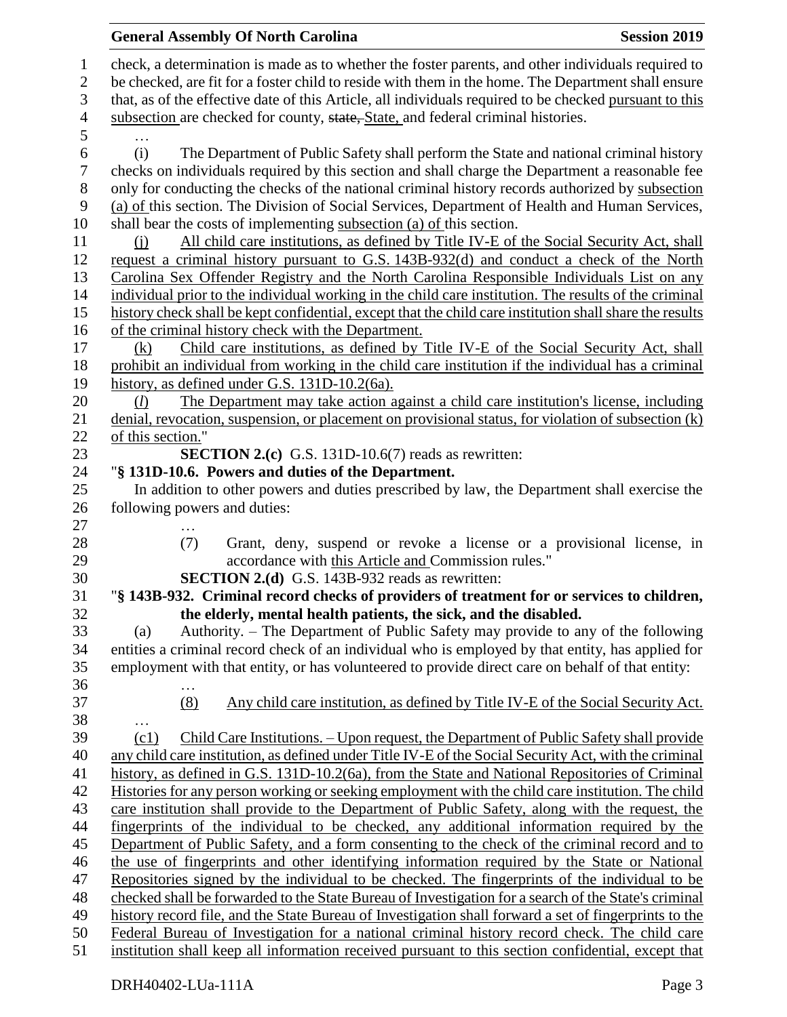|                  | <b>General Assembly Of North Carolina</b>                                                                                                                                                            | <b>Session 2019</b> |
|------------------|------------------------------------------------------------------------------------------------------------------------------------------------------------------------------------------------------|---------------------|
| $\mathbf{1}$     | check, a determination is made as to whether the foster parents, and other individuals required to                                                                                                   |                     |
| $\mathbf{2}$     | be checked, are fit for a foster child to reside with them in the home. The Department shall ensure                                                                                                  |                     |
| 3                | that, as of the effective date of this Article, all individuals required to be checked pursuant to this                                                                                              |                     |
| $\overline{4}$   | subsection are checked for county, state, State, and federal criminal histories.                                                                                                                     |                     |
| 5                | $\ddotsc$                                                                                                                                                                                            |                     |
| 6                | The Department of Public Safety shall perform the State and national criminal history<br>(i)                                                                                                         |                     |
| $\boldsymbol{7}$ | checks on individuals required by this section and shall charge the Department a reasonable fee                                                                                                      |                     |
| $8\phantom{1}$   | only for conducting the checks of the national criminal history records authorized by subsection                                                                                                     |                     |
| 9                | (a) of this section. The Division of Social Services, Department of Health and Human Services,                                                                                                       |                     |
| 10               | shall bear the costs of implementing subsection (a) of this section.                                                                                                                                 |                     |
| 11               | All child care institutions, as defined by Title IV-E of the Social Security Act, shall<br>(i)                                                                                                       |                     |
| 12               | request a criminal history pursuant to G.S. 143B-932(d) and conduct a check of the North                                                                                                             |                     |
| 13               | Carolina Sex Offender Registry and the North Carolina Responsible Individuals List on any                                                                                                            |                     |
| 14               | individual prior to the individual working in the child care institution. The results of the criminal                                                                                                |                     |
| 15               | history check shall be kept confidential, except that the child care institution shall share the results                                                                                             |                     |
| 16               | of the criminal history check with the Department.                                                                                                                                                   |                     |
| 17               | Child care institutions, as defined by Title IV-E of the Social Security Act, shall<br>(k)                                                                                                           |                     |
| 18               | prohibit an individual from working in the child care institution if the individual has a criminal                                                                                                   |                     |
| 19               | history, as defined under G.S. 131D-10.2(6a).                                                                                                                                                        |                     |
| 20               | The Department may take action against a child care institution's license, including<br>(l)                                                                                                          |                     |
| 21               | denial, revocation, suspension, or placement on provisional status, for violation of subsection $(k)$                                                                                                |                     |
| 22               | of this section."                                                                                                                                                                                    |                     |
| 23               | <b>SECTION 2.(c)</b> G.S. 131D-10.6(7) reads as rewritten:                                                                                                                                           |                     |
| 24               | "§ 131D-10.6. Powers and duties of the Department.                                                                                                                                                   |                     |
| 25<br>26         | In addition to other powers and duties prescribed by law, the Department shall exercise the<br>following powers and duties:                                                                          |                     |
| 27               |                                                                                                                                                                                                      |                     |
| 28               | (7)<br>Grant, deny, suspend or revoke a license or a provisional license, in                                                                                                                         |                     |
| 29               | accordance with this Article and Commission rules."                                                                                                                                                  |                     |
| 30               | <b>SECTION 2.(d)</b> G.S. 143B-932 reads as rewritten:                                                                                                                                               |                     |
| 31               | "§ 143B-932. Criminal record checks of providers of treatment for or services to children,                                                                                                           |                     |
| 32               | the elderly, mental health patients, the sick, and the disabled.                                                                                                                                     |                     |
| 33               | Authority. - The Department of Public Safety may provide to any of the following<br>(a)                                                                                                              |                     |
| 34               | entities a criminal record check of an individual who is employed by that entity, has applied for                                                                                                    |                     |
| 35               | employment with that entity, or has volunteered to provide direct care on behalf of that entity:                                                                                                     |                     |
| 36               | .                                                                                                                                                                                                    |                     |
| 37               | (8)<br>Any child care institution, as defined by Title IV-E of the Social Security Act.                                                                                                              |                     |
| 38               | .                                                                                                                                                                                                    |                     |
| 39               | Child Care Institutions. - Upon request, the Department of Public Safety shall provide<br>(c1)                                                                                                       |                     |
| 40               | any child care institution, as defined under Title IV-E of the Social Security Act, with the criminal                                                                                                |                     |
| 41<br>42         | history, as defined in G.S. 131D-10.2(6a), from the State and National Repositories of Criminal<br>Histories for any person working or seeking employment with the child care institution. The child |                     |
| 43               | care institution shall provide to the Department of Public Safety, along with the request, the                                                                                                       |                     |
| 44               | fingerprints of the individual to be checked, any additional information required by the                                                                                                             |                     |
| 45               | Department of Public Safety, and a form consenting to the check of the criminal record and to                                                                                                        |                     |
| 46               | the use of fingerprints and other identifying information required by the State or National                                                                                                          |                     |
| 47               | Repositories signed by the individual to be checked. The fingerprints of the individual to be                                                                                                        |                     |
| 48               | checked shall be forwarded to the State Bureau of Investigation for a search of the State's criminal                                                                                                 |                     |
| 49               | history record file, and the State Bureau of Investigation shall forward a set of fingerprints to the                                                                                                |                     |
| 50               | Federal Bureau of Investigation for a national criminal history record check. The child care                                                                                                         |                     |
| 51               | institution shall keep all information received pursuant to this section confidential, except that                                                                                                   |                     |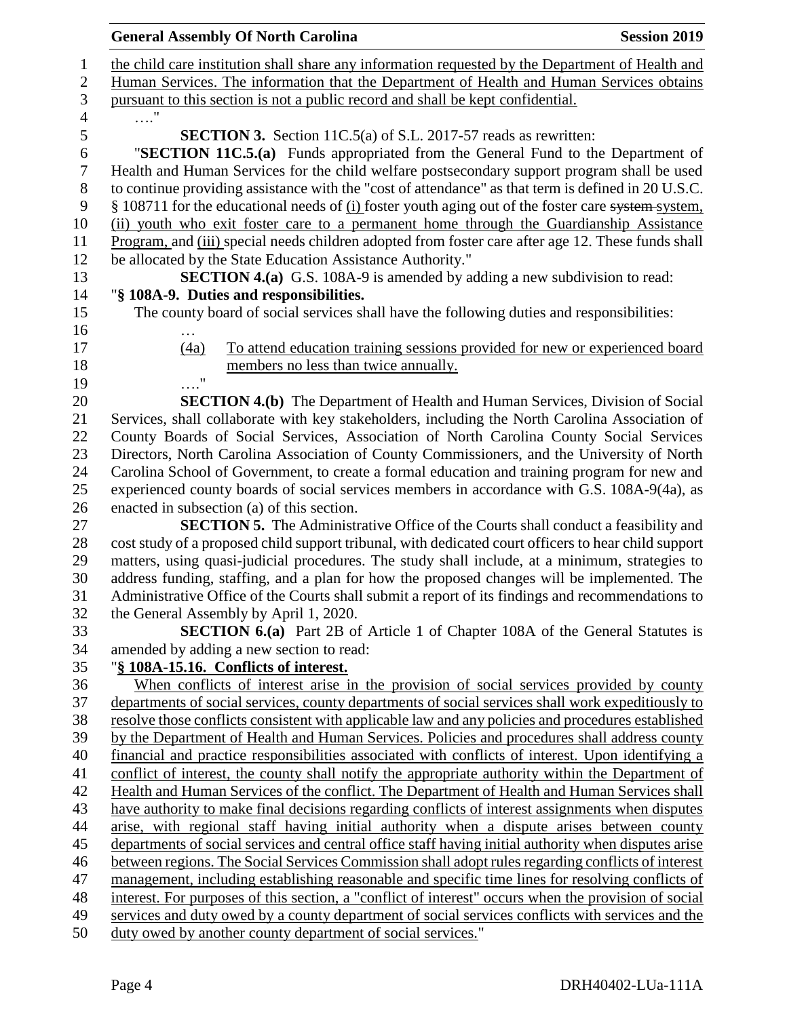|      | <b>General Assembly Of North Carolina</b>                                                            | <b>Session 2019</b> |
|------|------------------------------------------------------------------------------------------------------|---------------------|
|      | the child care institution shall share any information requested by the Department of Health and     |                     |
|      | Human Services. The information that the Department of Health and Human Services obtains             |                     |
|      | pursuant to this section is not a public record and shall be kept confidential.                      |                     |
| . '  |                                                                                                      |                     |
|      | <b>SECTION 3.</b> Section 11C.5(a) of S.L. 2017-57 reads as rewritten:                               |                     |
|      | "SECTION 11C.5.(a) Funds appropriated from the General Fund to the Department of                     |                     |
|      | Health and Human Services for the child welfare postsecondary support program shall be used          |                     |
|      | to continue providing assistance with the "cost of attendance" as that term is defined in 20 U.S.C.  |                     |
|      | § 108711 for the educational needs of (i) foster youth aging out of the foster care system system,   |                     |
|      | (ii) youth who exit foster care to a permanent home through the Guardianship Assistance              |                     |
|      | Program, and (iii) special needs children adopted from foster care after age 12. These funds shall   |                     |
|      | be allocated by the State Education Assistance Authority."                                           |                     |
|      | <b>SECTION 4.(a)</b> G.S. 108A-9 is amended by adding a new subdivision to read:                     |                     |
|      | "§ 108A-9. Duties and responsibilities.                                                              |                     |
|      | The county board of social services shall have the following duties and responsibilities:            |                     |
|      |                                                                                                      |                     |
| (4a) | To attend education training sessions provided for new or experienced board                          |                     |
|      | members no less than twice annually.                                                                 |                     |
| . "  |                                                                                                      |                     |
|      | <b>SECTION 4.(b)</b> The Department of Health and Human Services, Division of Social                 |                     |
|      | Services, shall collaborate with key stakeholders, including the North Carolina Association of       |                     |
|      | County Boards of Social Services, Association of North Carolina County Social Services               |                     |
|      | Directors, North Carolina Association of County Commissioners, and the University of North           |                     |
|      | Carolina School of Government, to create a formal education and training program for new and         |                     |
|      | experienced county boards of social services members in accordance with G.S. 108A-9(4a), as          |                     |
|      | enacted in subsection (a) of this section.                                                           |                     |
|      | <b>SECTION 5.</b> The Administrative Office of the Courts shall conduct a feasibility and            |                     |
|      | cost study of a proposed child support tribunal, with dedicated court officers to hear child support |                     |
|      | matters, using quasi-judicial procedures. The study shall include, at a minimum, strategies to       |                     |
|      | address funding, staffing, and a plan for how the proposed changes will be implemented. The          |                     |
|      | Administrative Office of the Courts shall submit a report of its findings and recommendations to     |                     |
|      | the General Assembly by April 1, 2020.                                                               |                     |
|      | <b>SECTION 6.(a)</b> Part 2B of Article 1 of Chapter 108A of the General Statutes is                 |                     |
|      | amended by adding a new section to read:                                                             |                     |
|      | "§ 108A-15.16. Conflicts of interest.                                                                |                     |
|      | When conflicts of interest arise in the provision of social services provided by county              |                     |
|      | departments of social services, county departments of social services shall work expeditiously to    |                     |
|      | resolve those conflicts consistent with applicable law and any policies and procedures established   |                     |
|      | by the Department of Health and Human Services. Policies and procedures shall address county         |                     |
|      | financial and practice responsibilities associated with conflicts of interest. Upon identifying a    |                     |
|      | conflict of interest, the county shall notify the appropriate authority within the Department of     |                     |
|      | Health and Human Services of the conflict. The Department of Health and Human Services shall         |                     |
|      | have authority to make final decisions regarding conflicts of interest assignments when disputes     |                     |
|      | arise, with regional staff having initial authority when a dispute arises between county             |                     |
|      | departments of social services and central office staff having initial authority when disputes arise |                     |
|      | between regions. The Social Services Commission shall adopt rules regarding conflicts of interest    |                     |
|      | management, including establishing reasonable and specific time lines for resolving conflicts of     |                     |
|      | interest. For purposes of this section, a "conflict of interest" occurs when the provision of social |                     |
|      | services and duty owed by a county department of social services conflicts with services and the     |                     |
|      | duty owed by another county department of social services."                                          |                     |
|      |                                                                                                      |                     |